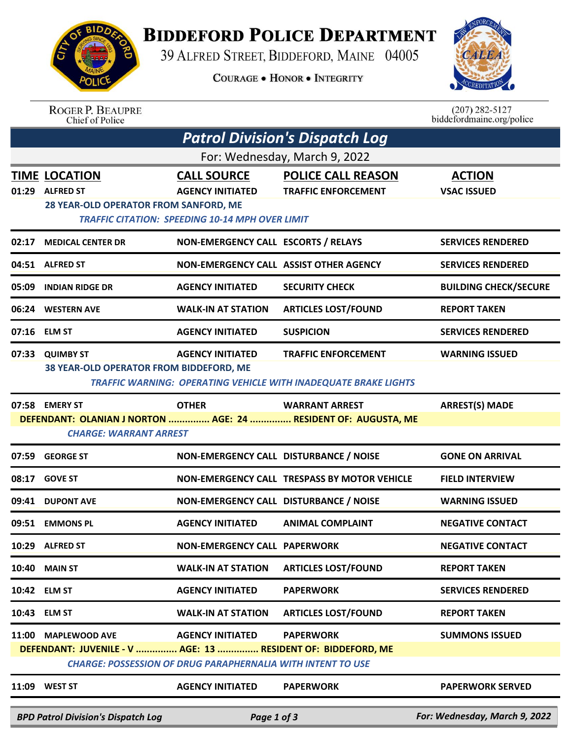

## **BIDDEFORD POLICE DEPARTMENT**

39 ALFRED STREET, BIDDEFORD, MAINE 04005

**COURAGE . HONOR . INTEGRITY** 



| <b>ROGER P. BEAUPRE</b> |
|-------------------------|
| Chief of Police         |

 $(207)$  282-5127<br>biddefordmaine.org/police

|                               | <b>Patrol Division's Dispatch Log</b>                                                                                                                                                                                             |                                                                                                         |                                                                                                      |                                     |  |  |  |  |
|-------------------------------|-----------------------------------------------------------------------------------------------------------------------------------------------------------------------------------------------------------------------------------|---------------------------------------------------------------------------------------------------------|------------------------------------------------------------------------------------------------------|-------------------------------------|--|--|--|--|
| For: Wednesday, March 9, 2022 |                                                                                                                                                                                                                                   |                                                                                                         |                                                                                                      |                                     |  |  |  |  |
|                               | <b>TIME LOCATION</b><br>01:29 ALFRED ST<br>28 YEAR-OLD OPERATOR FROM SANFORD, ME                                                                                                                                                  | <b>CALL SOURCE</b><br><b>AGENCY INITIATED</b><br><b>TRAFFIC CITATION: SPEEDING 10-14 MPH OVER LIMIT</b> | <b>POLICE CALL REASON</b><br><b>TRAFFIC ENFORCEMENT</b>                                              | <b>ACTION</b><br><b>VSAC ISSUED</b> |  |  |  |  |
| 02:17                         | <b>MEDICAL CENTER DR</b>                                                                                                                                                                                                          | NON-EMERGENCY CALL ESCORTS / RELAYS                                                                     |                                                                                                      | <b>SERVICES RENDERED</b>            |  |  |  |  |
|                               | 04:51 ALFRED ST                                                                                                                                                                                                                   | NON-EMERGENCY CALL ASSIST OTHER AGENCY                                                                  |                                                                                                      | <b>SERVICES RENDERED</b>            |  |  |  |  |
|                               | 05:09 INDIAN RIDGE DR                                                                                                                                                                                                             | <b>AGENCY INITIATED</b>                                                                                 | <b>SECURITY CHECK</b>                                                                                | <b>BUILDING CHECK/SECURE</b>        |  |  |  |  |
|                               | 06:24 WESTERN AVE                                                                                                                                                                                                                 | <b>WALK-IN AT STATION</b>                                                                               | <b>ARTICLES LOST/FOUND</b>                                                                           | <b>REPORT TAKEN</b>                 |  |  |  |  |
|                               | 07:16 ELM ST                                                                                                                                                                                                                      | <b>AGENCY INITIATED</b>                                                                                 | <b>SUSPICION</b>                                                                                     | <b>SERVICES RENDERED</b>            |  |  |  |  |
|                               | 07:33 QUIMBY ST<br>38 YEAR-OLD OPERATOR FROM BIDDEFORD, ME                                                                                                                                                                        | <b>AGENCY INITIATED</b>                                                                                 | <b>TRAFFIC ENFORCEMENT</b><br><b>TRAFFIC WARNING: OPERATING VEHICLE WITH INADEQUATE BRAKE LIGHTS</b> | <b>WARNING ISSUED</b>               |  |  |  |  |
|                               | 07:58 EMERY ST<br><b>CHARGE: WARRANT ARREST</b>                                                                                                                                                                                   | <b>OTHER</b>                                                                                            | <b>WARRANT ARREST</b><br>DEFENDANT: OLANIAN J NORTON  AGE: 24  RESIDENT OF: AUGUSTA, ME              | <b>ARREST(S) MADE</b>               |  |  |  |  |
| 07:59                         | <b>GEORGE ST</b>                                                                                                                                                                                                                  | NON-EMERGENCY CALL DISTURBANCE / NOISE                                                                  |                                                                                                      | <b>GONE ON ARRIVAL</b>              |  |  |  |  |
|                               | 08:17 GOVE ST                                                                                                                                                                                                                     |                                                                                                         | NON-EMERGENCY CALL TRESPASS BY MOTOR VEHICLE                                                         | <b>FIELD INTERVIEW</b>              |  |  |  |  |
|                               | 09:41 DUPONT AVE                                                                                                                                                                                                                  | NON-EMERGENCY CALL DISTURBANCE / NOISE                                                                  |                                                                                                      | <b>WARNING ISSUED</b>               |  |  |  |  |
|                               | 09:51 EMMONS PL                                                                                                                                                                                                                   | <b>AGENCY INITIATED</b>                                                                                 | <b>ANIMAL COMPLAINT</b>                                                                              | <b>NEGATIVE CONTACT</b>             |  |  |  |  |
|                               | 10:29 ALFRED ST                                                                                                                                                                                                                   | <b>NON-EMERGENCY CALL PAPERWORK</b>                                                                     |                                                                                                      | <b>NEGATIVE CONTACT</b>             |  |  |  |  |
|                               | <b>10:40 MAIN ST</b>                                                                                                                                                                                                              | <b>WALK-IN AT STATION</b>                                                                               | <b>ARTICLES LOST/FOUND</b>                                                                           | <b>REPORT TAKEN</b>                 |  |  |  |  |
|                               | 10:42 ELM ST                                                                                                                                                                                                                      | <b>AGENCY INITIATED</b>                                                                                 | <b>PAPERWORK</b>                                                                                     | <b>SERVICES RENDERED</b>            |  |  |  |  |
|                               | 10:43 ELM ST                                                                                                                                                                                                                      | <b>WALK-IN AT STATION</b>                                                                               | <b>ARTICLES LOST/FOUND</b>                                                                           | <b>REPORT TAKEN</b>                 |  |  |  |  |
|                               | 11:00 MAPLEWOOD AVE<br><b>AGENCY INITIATED</b><br><b>PAPERWORK</b><br><b>SUMMONS ISSUED</b><br>DEFENDANT: JUVENILE - V  AGE: 13  RESIDENT OF: BIDDEFORD, ME<br><b>CHARGE: POSSESSION OF DRUG PARAPHERNALIA WITH INTENT TO USE</b> |                                                                                                         |                                                                                                      |                                     |  |  |  |  |
|                               | 11:09 WEST ST                                                                                                                                                                                                                     | <b>AGENCY INITIATED</b>                                                                                 | <b>PAPERWORK</b>                                                                                     | <b>PAPERWORK SERVED</b>             |  |  |  |  |
|                               | <b>BPD Patrol Division's Dispatch Log</b>                                                                                                                                                                                         | Page 1 of 3                                                                                             |                                                                                                      | For: Wednesday, March 9, 2022       |  |  |  |  |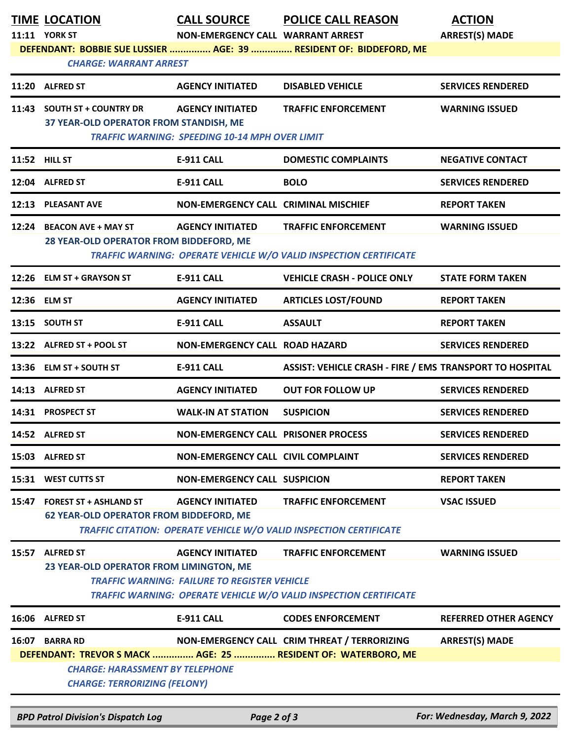| <b>TIME LOCATION</b>                                                                            | <b>CALL SOURCE</b>                                                               | <b>POLICE CALL REASON</b>                                                                                     | <b>ACTION</b>                |
|-------------------------------------------------------------------------------------------------|----------------------------------------------------------------------------------|---------------------------------------------------------------------------------------------------------------|------------------------------|
| 11:11 YORK ST                                                                                   | NON-EMERGENCY CALL WARRANT ARREST                                                |                                                                                                               | <b>ARREST(S) MADE</b>        |
| <b>CHARGE: WARRANT ARREST</b>                                                                   |                                                                                  | DEFENDANT: BOBBIE SUE LUSSIER  AGE: 39  RESIDENT OF: BIDDEFORD, ME                                            |                              |
| 11:20 ALFRED ST                                                                                 | <b>AGENCY INITIATED</b>                                                          | <b>DISABLED VEHICLE</b>                                                                                       | <b>SERVICES RENDERED</b>     |
| 11:43 SOUTH ST + COUNTRY DR<br>37 YEAR-OLD OPERATOR FROM STANDISH, ME                           | <b>AGENCY INITIATED</b><br><b>TRAFFIC WARNING: SPEEDING 10-14 MPH OVER LIMIT</b> | <b>TRAFFIC ENFORCEMENT</b>                                                                                    | <b>WARNING ISSUED</b>        |
| 11:52 HILL ST                                                                                   | <b>E-911 CALL</b>                                                                | <b>DOMESTIC COMPLAINTS</b>                                                                                    | <b>NEGATIVE CONTACT</b>      |
| 12:04 ALFRED ST                                                                                 | <b>E-911 CALL</b>                                                                | <b>BOLO</b>                                                                                                   | <b>SERVICES RENDERED</b>     |
| 12:13 PLEASANT AVE                                                                              | NON-EMERGENCY CALL CRIMINAL MISCHIEF                                             |                                                                                                               | <b>REPORT TAKEN</b>          |
| 12:24 BEACON AVE + MAY ST<br>28 YEAR-OLD OPERATOR FROM BIDDEFORD, ME                            | <b>AGENCY INITIATED</b>                                                          | <b>TRAFFIC ENFORCEMENT</b><br><b>TRAFFIC WARNING: OPERATE VEHICLE W/O VALID INSPECTION CERTIFICATE</b>        | <b>WARNING ISSUED</b>        |
| 12:26 ELM ST + GRAYSON ST                                                                       | <b>E-911 CALL</b>                                                                | <b>VEHICLE CRASH - POLICE ONLY</b>                                                                            | <b>STATE FORM TAKEN</b>      |
| 12:36 ELM ST                                                                                    | <b>AGENCY INITIATED</b>                                                          | <b>ARTICLES LOST/FOUND</b>                                                                                    | <b>REPORT TAKEN</b>          |
| 13:15 SOUTH ST                                                                                  | <b>E-911 CALL</b>                                                                | <b>ASSAULT</b>                                                                                                | <b>REPORT TAKEN</b>          |
| 13:22 ALFRED ST + POOL ST                                                                       | NON-EMERGENCY CALL ROAD HAZARD                                                   |                                                                                                               | <b>SERVICES RENDERED</b>     |
| 13:36 ELM ST + SOUTH ST                                                                         | <b>E-911 CALL</b>                                                                | ASSIST: VEHICLE CRASH - FIRE / EMS TRANSPORT TO HOSPITAL                                                      |                              |
| 14:13 ALFRED ST                                                                                 | <b>AGENCY INITIATED</b>                                                          | <b>OUT FOR FOLLOW UP</b>                                                                                      | <b>SERVICES RENDERED</b>     |
| 14:31 PROSPECT ST                                                                               | <b>WALK-IN AT STATION</b>                                                        | <b>SUSPICION</b>                                                                                              | <b>SERVICES RENDERED</b>     |
| 14:52 ALFRED ST                                                                                 | NON-EMERGENCY CALL PRISONER PROCESS                                              |                                                                                                               | <b>SERVICES RENDERED</b>     |
| 15:03 ALFRED ST                                                                                 | NON-EMERGENCY CALL CIVIL COMPLAINT                                               |                                                                                                               | <b>SERVICES RENDERED</b>     |
| 15:31 WEST CUTTS ST                                                                             | <b>NON-EMERGENCY CALL SUSPICION</b>                                              |                                                                                                               | <b>REPORT TAKEN</b>          |
| 15:47 FOREST ST + ASHLAND ST<br><b>62 YEAR-OLD OPERATOR FROM BIDDEFORD, ME</b>                  | <b>AGENCY INITIATED</b>                                                          | <b>TRAFFIC ENFORCEMENT</b><br><b>TRAFFIC CITATION: OPERATE VEHICLE W/O VALID INSPECTION CERTIFICATE</b>       | <b>VSAC ISSUED</b>           |
| 15:57 ALFRED ST<br>23 YEAR-OLD OPERATOR FROM LIMINGTON, ME                                      | <b>AGENCY INITIATED</b><br><b>TRAFFIC WARNING: FAILURE TO REGISTER VEHICLE</b>   | <b>TRAFFIC ENFORCEMENT</b><br><b>TRAFFIC WARNING: OPERATE VEHICLE W/O VALID INSPECTION CERTIFICATE</b>        | <b>WARNING ISSUED</b>        |
| 16:06 ALFRED ST                                                                                 | <b>E-911 CALL</b>                                                                | <b>CODES ENFORCEMENT</b>                                                                                      | <b>REFERRED OTHER AGENCY</b> |
| 16:07 BARRA RD<br><b>CHARGE: HARASSMENT BY TELEPHONE</b><br><b>CHARGE: TERRORIZING (FELONY)</b> |                                                                                  | NON-EMERGENCY CALL CRIM THREAT / TERRORIZING<br>DEFENDANT: TREVOR S MACK  AGE: 25  RESIDENT OF: WATERBORO, ME | <b>ARREST(S) MADE</b>        |

*BPD Patrol Division's Dispatch Log Page 2 of 3 For: Wednesday, March 9, 2022*